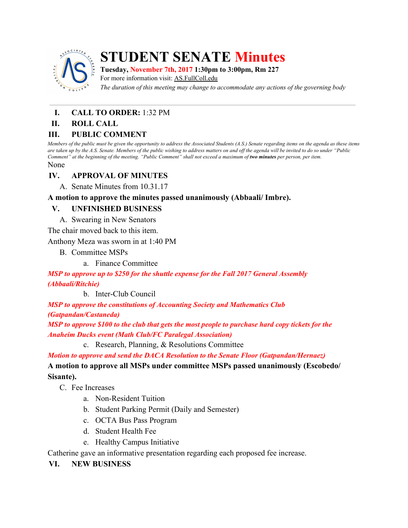

## **STUDENT SENATE Minutes**

**Tuesday, November 7th, 2017 1:30pm to 3:00pm, Rm 227**

For more information visit: AS.FullColl.edu

*The duration of this meeting may change to accommodate any actions of the governing body*

# **I. CALL TO ORDER:** 1:32 PM

#### **II. ROLL CALL**

#### **III. PUBLIC COMMENT**

Members of the public must be given the opportunity to address the Associated Students (A.S.) Senate regarding items on the agenda as these items are taken up by the A.S. Senate. Members of the public wishing to address matters on and off the agenda will be invited to do so under "Public Comment" at the beginning of the meeting. "Public Comment" shall not exceed a maximum of two minutes per person, per item. None

## **IV. APPROVAL OF MINUTES**

A. Senate Minutes from 10.31.17

**A motion to approve the minutes passed unanimously (Abbaali/ Imbre).**

## **V. UNFINISHED BUSINESS**

A. Swearing in New Senators

The chair moved back to this item.

Anthony Meza was sworn in at 1:40 PM

- B. Committee MSPs
	- a. Finance Committee

*MSP to approve up to \$250 for the shuttle expense for the Fall 2017 General Assembly (Abbaali/Ritchie)*

b. Inter-Club Council

*MSP to approve the constitutions of Accounting Society and Mathematics Club (Gatpandan/Castaneda)*

MSP to approve \$100 to the club that gets the most people to purchase hard copy tickets for the *Anaheim Ducks event (Math Club/FC Paralegal Association)*

c. Research, Planning, & Resolutions Committee

*Motion to approve and send the DACA Resolution to the Senate Floor (Gatpandan/Hernaez)*

## **A motion to approve all MSPs under committee MSPs passed unanimously (Escobedo/ Sisante).**

- C. Fee Increases
	- a. Non-Resident Tuition
	- b. Student Parking Permit (Daily and Semester)
	- c. OCTA Bus Pass Program
	- d. Student Health Fee
	- e. Healthy Campus Initiative

Catherine gave an informative presentation regarding each proposed fee increase.

#### **VI. NEW BUSINESS**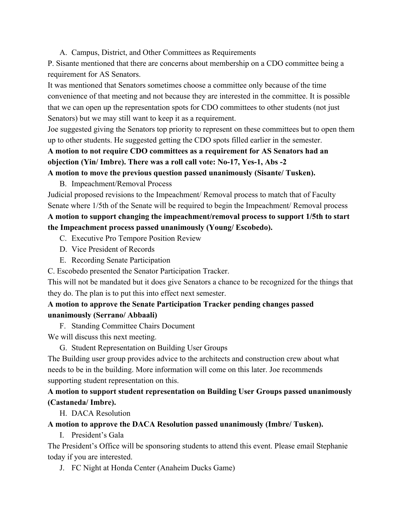A. Campus, District, and Other Committees as Requirements

P. Sisante mentioned that there are concerns about membership on a CDO committee being a requirement for AS Senators.

It was mentioned that Senators sometimes choose a committee only because of the time convenience of that meeting and not because they are interested in the committee. It is possible that we can open up the representation spots for CDO committees to other students (not just Senators) but we may still want to keep it as a requirement.

Joe suggested giving the Senators top priority to represent on these committees but to open them up to other students. He suggested getting the CDO spots filled earlier in the semester.

## **A motion to not require CDO committees as a requirement for AS Senators had an objection (Yin/ Imbre). There was a roll call vote: No-17, Yes-1, Abs -2**

## **A motion to move the previous question passed unanimously (Sisante/ Tusken).**

B. Impeachment/Removal Process

Judicial proposed revisions to the Impeachment/ Removal process to match that of Faculty Senate where 1/5th of the Senate will be required to begin the Impeachment/ Removal process

## **A motion to support changing the impeachment/removal process to support 1/5th to start the Impeachment process passed unanimously (Young/ Escobedo).**

- C. Executive Pro Tempore Position Review
- D. Vice President of Records
- E. Recording Senate Participation
- C. Escobedo presented the Senator Participation Tracker.

This will not be mandated but it does give Senators a chance to be recognized for the things that they do. The plan is to put this into effect next semester.

## **A motion to approve the Senate Participation Tracker pending changes passed unanimously (Serrano/ Abbaali)**

F. Standing Committee Chairs Document

We will discuss this next meeting.

G. Student Representation on Building User Groups

The Building user group provides advice to the architects and construction crew about what needs to be in the building. More information will come on this later. Joe recommends supporting student representation on this.

## **A motion to support student representation on Building User Groups passed unanimously (Castaneda/ Imbre).**

H. DACA Resolution

#### **A motion to approve the DACA Resolution passed unanimously (Imbre/ Tusken).**

I. President's Gala

The President's Office will be sponsoring students to attend this event. Please email Stephanie today if you are interested.

J. FC Night at Honda Center (Anaheim Ducks Game)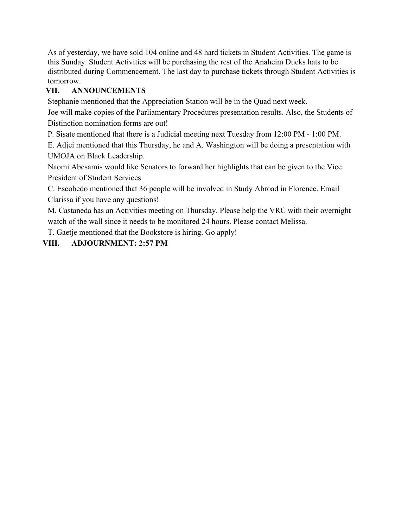As of yesterday, we have sold 104 online and 48 hard tickets in Student Activities. The game is this Sunday. Student Activities will be purchasing the rest of the Anaheim Ducks hats to be distributed during Commencement. The last day to purchase tickets through Student Activities is tomorrow.

## **VII. ANNOUNCEMENTS**

Stephanie mentioned that the Appreciation Station will be in the Quad next week.

Joe will make copies of the Parliamentary Procedures presentation results. Also, the Students of Distinction nomination forms are out!

P. Sisate mentioned that there is a Judicial meeting next Tuesday from 12:00 PM - 1:00 PM.

E. Adjei mentioned that this Thursday, he and A. Washington will be doing a presentation with UMOJA on Black Leadership.

Naomi Abesamis would like Senators to forward her highlights that can be given to the Vice President of Student Services

C. Escobedo mentioned that 36 people will be involved in Study Abroad in Florence. Email Clarissa if you have any questions!

M. Castaneda has an Activities meeting on Thursday. Please help the VRC with their overnight watch of the wall since it needs to be monitored 24 hours. Please contact Melissa.

T. Gaetje mentioned that the Bookstore is hiring. Go apply!

## **VIII. ADJOURNMENT: 2:57 PM**